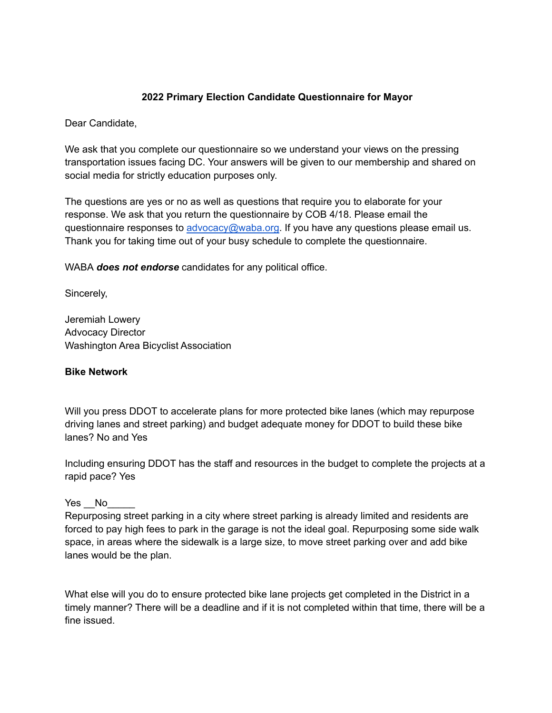### **2022 Primary Election Candidate Questionnaire for Mayor**

Dear Candidate,

We ask that you complete our questionnaire so we understand your views on the pressing transportation issues facing DC. Your answers will be given to our membership and shared on social media for strictly education purposes only.

The questions are yes or no as well as questions that require you to elaborate for your response. We ask that you return the questionnaire by COB 4/18. Please email the questionnaire responses to [advocacy@waba.org.](mailto:advocacy@waba.org) If you have any questions please email us. Thank you for taking time out of your busy schedule to complete the questionnaire.

WABA *does not endorse* candidates for any political office.

Sincerely,

Jeremiah Lowery Advocacy Director Washington Area Bicyclist Association

#### **Bike Network**

Will you press DDOT to accelerate plans for more protected bike lanes (which may repurpose driving lanes and street parking) and budget adequate money for DDOT to build these bike lanes? No and Yes

Including ensuring DDOT has the staff and resources in the budget to complete the projects at a rapid pace? Yes

#### Yes No

Repurposing street parking in a city where street parking is already limited and residents are forced to pay high fees to park in the garage is not the ideal goal. Repurposing some side walk space, in areas where the sidewalk is a large size, to move street parking over and add bike lanes would be the plan.

What else will you do to ensure protected bike lane projects get completed in the District in a timely manner? There will be a deadline and if it is not completed within that time, there will be a fine issued.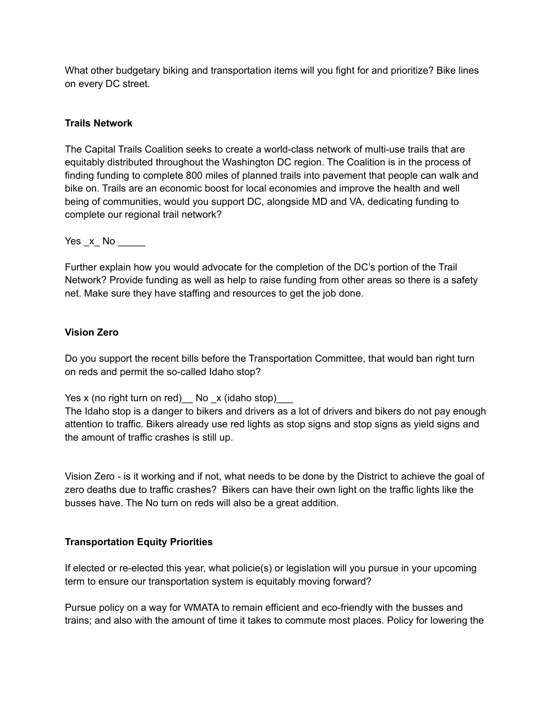What other budgetary biking and transportation items will you fight for and prioritize? Bike lines on every DC street.

## **Trails Network**

The Capital Trails Coalition seeks to create a world-class network of multi-use trails that are equitably distributed throughout the Washington DC region. The Coalition is in the process of finding funding to complete 800 miles of planned trails into pavement that people can walk and bike on. Trails are an economic boost for local economies and improve the health and well being of communities, would you support DC, alongside MD and VA, dedicating funding to complete our regional trail network?

 $Yes_x No$ 

Further explain how you would advocate for the completion of the DC's portion of the Trail Network? Provide funding as well as help to raise funding from other areas so there is a safety net. Make sure they have staffing and resources to get the job done.

# **Vision Zero**

Do you support the recent bills before the Transportation Committee, that would ban right turn on reds and permit the so-called Idaho stop?

Yes x (no right turn on red)  $\lfloor$  No  $\lfloor$  x (idaho stop)  $\lfloor$ 

The Idaho stop is a danger to bikers and drivers as a lot of drivers and bikers do not pay enough attention to traffic. Bikers already use red lights as stop signs and stop signs as yield signs and the amount of traffic crashes is still up.

Vision Zero - is it working and if not, what needs to be done by the District to achieve the goal of zero deaths due to traffic crashes? Bikers can have their own light on the traffic lights like the busses have. The No turn on reds will also be a great addition.

## **Transportation Equity Priorities**

If elected or re-elected this year, what policie(s) or legislation will you pursue in your upcoming term to ensure our transportation system is equitably moving forward?

Pursue policy on a way for WMATA to remain efficient and eco-friendly with the busses and trains; and also with the amount of time it takes to commute most places. Policy for lowering the